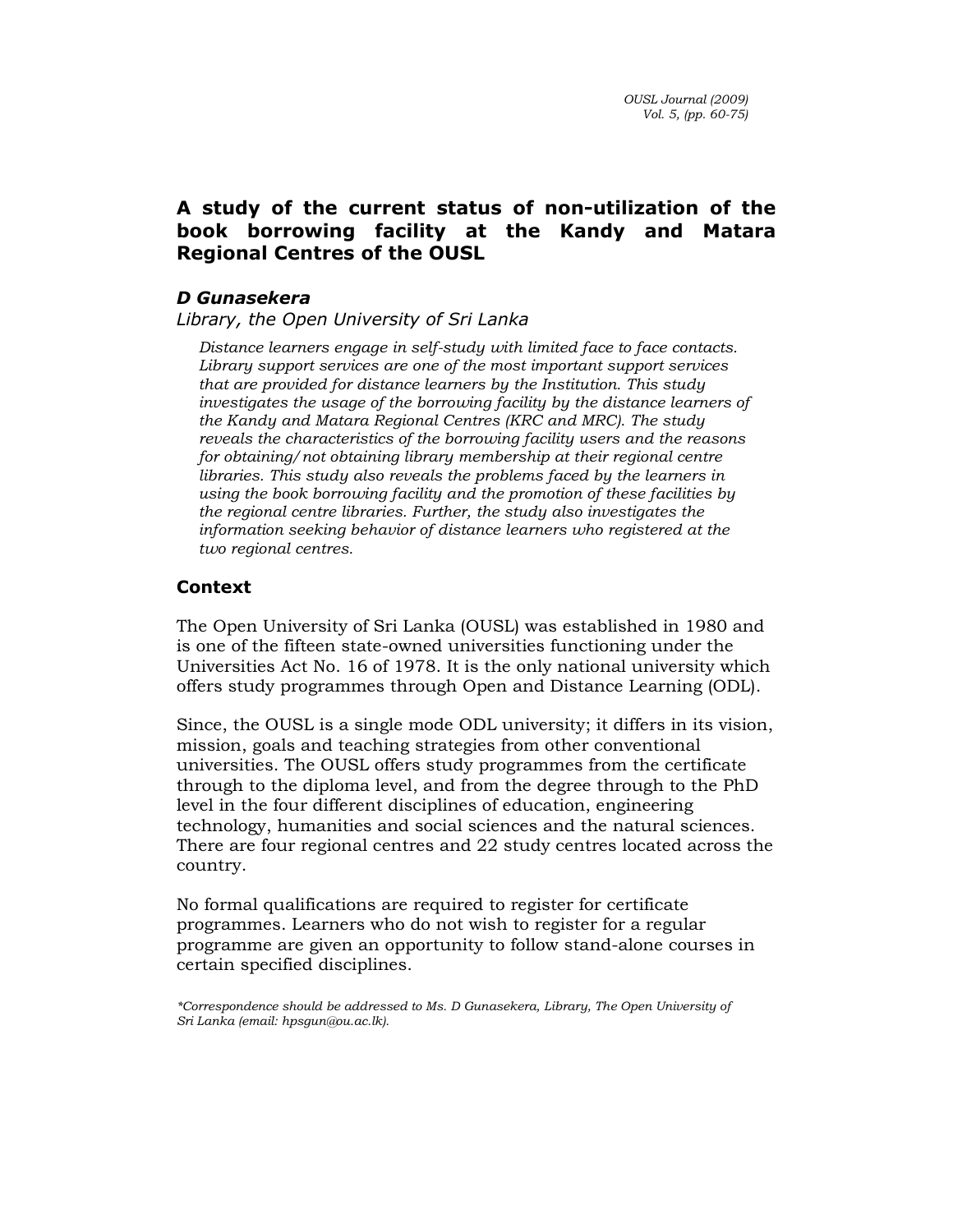# A study of the current status of non-utilization of the book borrowing facility at the Kandy and Matara Regional Centres of the OUSL

# D Gunasekera

Library, the Open University of Sri Lanka

Distance learners engage in self-study with limited face to face contacts. Library support services are one of the most important support services that are provided for distance learners by the Institution. This study investigates the usage of the borrowing facility by the distance learners of the Kandy and Matara Regional Centres (KRC and MRC). The study reveals the characteristics of the borrowing facility users and the reasons for obtaining/not obtaining library membership at their regional centre libraries. This study also reveals the problems faced by the learners in using the book borrowing facility and the promotion of these facilities by the regional centre libraries. Further, the study also investigates the information seeking behavior of distance learners who registered at the two regional centres.

# Context

The Open University of Sri Lanka (OUSL) was established in 1980 and is one of the fifteen state-owned universities functioning under the Universities Act No. 16 of 1978. It is the only national university which offers study programmes through Open and Distance Learning (ODL).

Since, the OUSL is a single mode ODL university; it differs in its vision, mission, goals and teaching strategies from other conventional universities. The OUSL offers study programmes from the certificate through to the diploma level, and from the degree through to the PhD level in the four different disciplines of education, engineering technology, humanities and social sciences and the natural sciences. There are four regional centres and 22 study centres located across the country.

No formal qualifications are required to register for certificate programmes. Learners who do not wish to register for a regular programme are given an opportunity to follow stand-alone courses in certain specified disciplines.

\*Correspondence should be addressed to Ms. D Gunasekera, Library, The Open University of Sri Lanka (email: hpsgun@ou.ac.lk).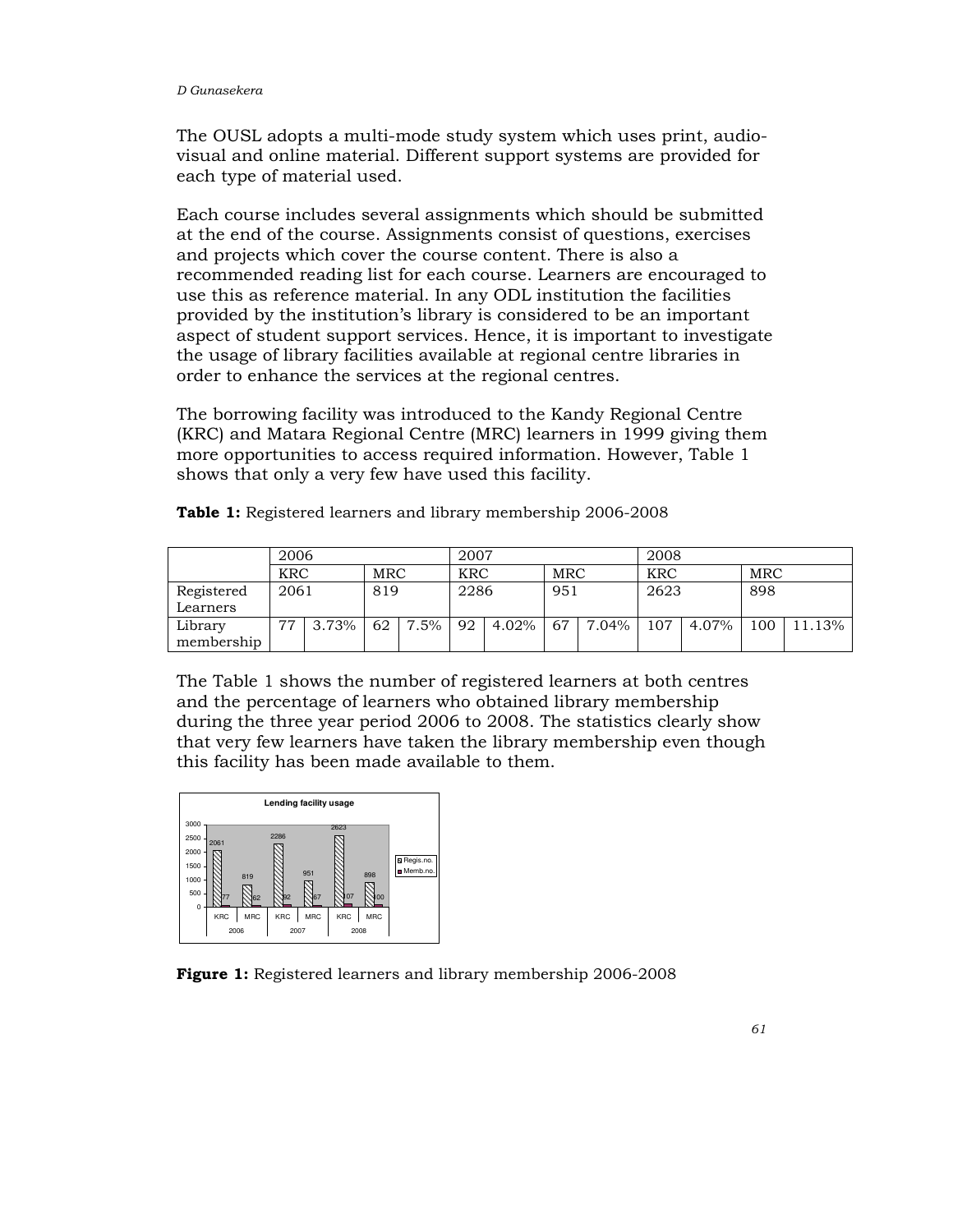The OUSL adopts a multi-mode study system which uses print, audiovisual and online material. Different support systems are provided for each type of material used.

Each course includes several assignments which should be submitted at the end of the course. Assignments consist of questions, exercises and projects which cover the course content. There is also a recommended reading list for each course. Learners are encouraged to use this as reference material. In any ODL institution the facilities provided by the institution's library is considered to be an important aspect of student support services. Hence, it is important to investigate the usage of library facilities available at regional centre libraries in order to enhance the services at the regional centres.

The borrowing facility was introduced to the Kandy Regional Centre (KRC) and Matara Regional Centre (MRC) learners in 1999 giving them more opportunities to access required information. However, Table 1 shows that only a very few have used this facility.

| <b>Table 1:</b> Registered learners and library membership 2006-2008 |  |  |
|----------------------------------------------------------------------|--|--|
|                                                                      |  |  |

| 2006                   |            |       |      | 2007    |            |          | 2008 |       |            |       |            |        |
|------------------------|------------|-------|------|---------|------------|----------|------|-------|------------|-------|------------|--------|
|                        | <b>KRC</b> |       | MRC  |         | <b>KRC</b> |          | MRC  |       | <b>KRC</b> |       | <b>MRC</b> |        |
| Registered<br>Learners | 2061       |       | 819  |         | 2286       |          | 951  |       | 2623       |       | 898        |        |
| Library<br>membership  | 77         | 3.73% | 62 l | $7.5\%$ | 92         | $4.02\%$ | 67   | 7.04% | 107        | 4.07% | 100        | 11.13% |

The Table 1 shows the number of registered learners at both centres and the percentage of learners who obtained library membership during the three year period 2006 to 2008. The statistics clearly show that very few learners have taken the library membership even though this facility has been made available to them.



Figure 1: Registered learners and library membership 2006-2008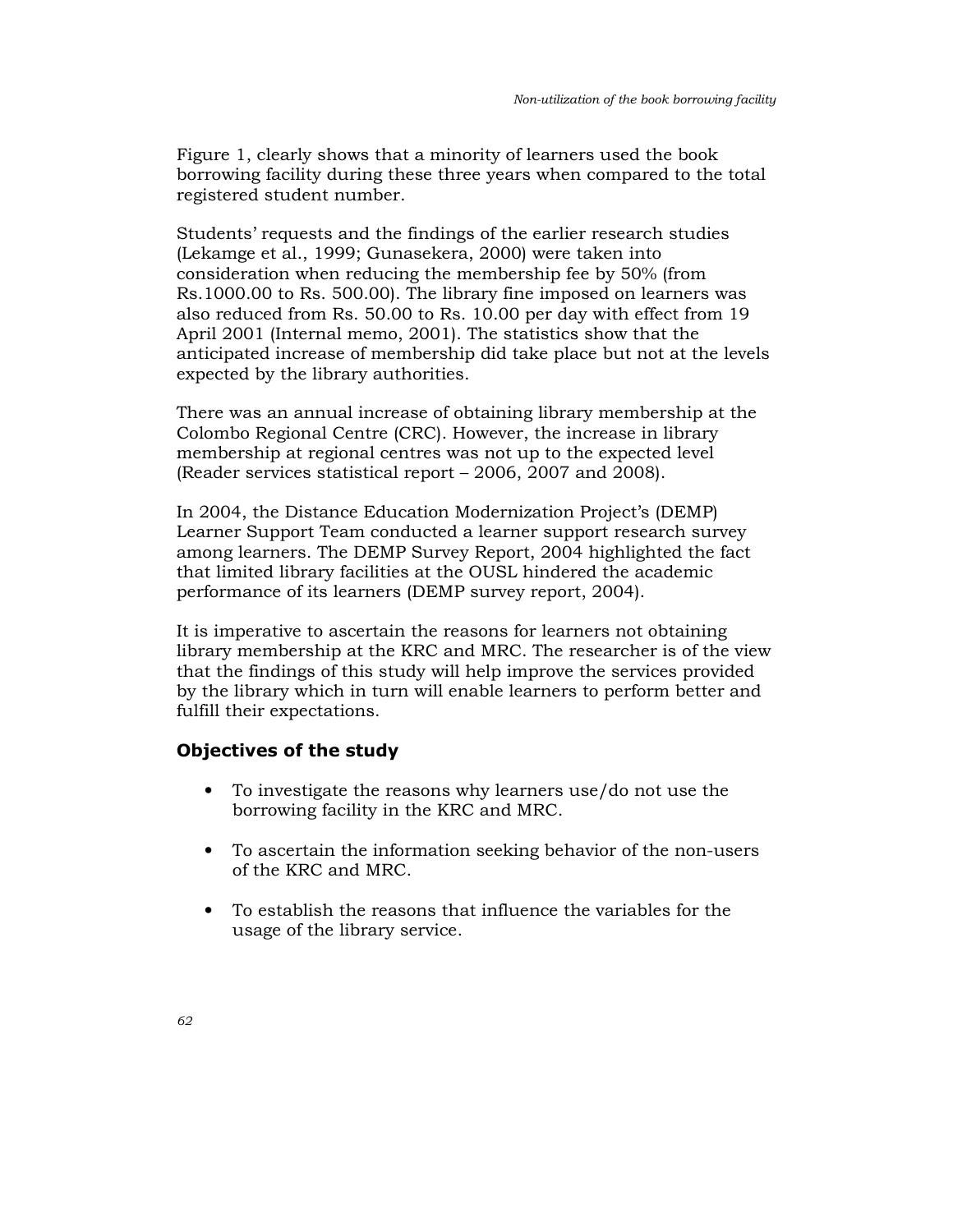Figure 1, clearly shows that a minority of learners used the book borrowing facility during these three years when compared to the total registered student number.

Students' requests and the findings of the earlier research studies (Lekamge et al., 1999; Gunasekera, 2000) were taken into consideration when reducing the membership fee by 50% (from Rs.1000.00 to Rs. 500.00). The library fine imposed on learners was also reduced from Rs. 50.00 to Rs. 10.00 per day with effect from 19 April 2001 (Internal memo, 2001). The statistics show that the anticipated increase of membership did take place but not at the levels expected by the library authorities.

There was an annual increase of obtaining library membership at the Colombo Regional Centre (CRC). However, the increase in library membership at regional centres was not up to the expected level (Reader services statistical report – 2006, 2007 and 2008).

In 2004, the Distance Education Modernization Project's (DEMP) Learner Support Team conducted a learner support research survey among learners. The DEMP Survey Report, 2004 highlighted the fact that limited library facilities at the OUSL hindered the academic performance of its learners (DEMP survey report, 2004).

It is imperative to ascertain the reasons for learners not obtaining library membership at the KRC and MRC. The researcher is of the view that the findings of this study will help improve the services provided by the library which in turn will enable learners to perform better and fulfill their expectations.

## Objectives of the study

- To investigate the reasons why learners use/do not use the borrowing facility in the KRC and MRC.
- To ascertain the information seeking behavior of the non-users of the KRC and MRC.
- To establish the reasons that influence the variables for the usage of the library service.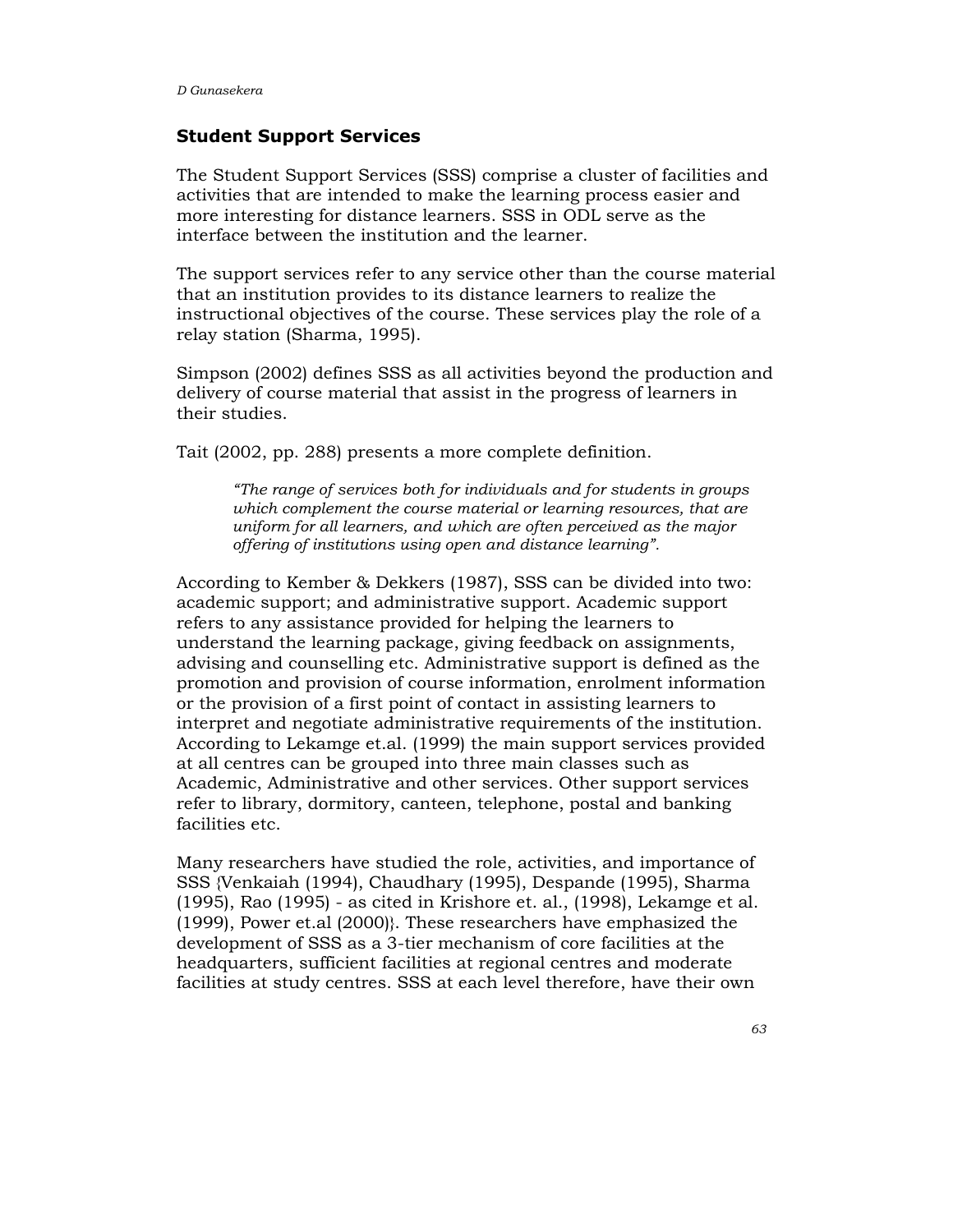### Student Support Services

The Student Support Services (SSS) comprise a cluster of facilities and activities that are intended to make the learning process easier and more interesting for distance learners. SSS in ODL serve as the interface between the institution and the learner.

The support services refer to any service other than the course material that an institution provides to its distance learners to realize the instructional objectives of the course. These services play the role of a relay station (Sharma, 1995).

Simpson (2002) defines SSS as all activities beyond the production and delivery of course material that assist in the progress of learners in their studies.

Tait (2002, pp. 288) presents a more complete definition.

"The range of services both for individuals and for students in groups which complement the course material or learning resources, that are uniform for all learners, and which are often perceived as the major offering of institutions using open and distance learning".

According to Kember & Dekkers (1987), SSS can be divided into two: academic support; and administrative support. Academic support refers to any assistance provided for helping the learners to understand the learning package, giving feedback on assignments, advising and counselling etc. Administrative support is defined as the promotion and provision of course information, enrolment information or the provision of a first point of contact in assisting learners to interpret and negotiate administrative requirements of the institution. According to Lekamge et.al. (1999) the main support services provided at all centres can be grouped into three main classes such as Academic, Administrative and other services. Other support services refer to library, dormitory, canteen, telephone, postal and banking facilities etc.

Many researchers have studied the role, activities, and importance of SSS {Venkaiah (1994), Chaudhary (1995), Despande (1995), Sharma (1995), Rao (1995) - as cited in Krishore et. al., (1998), Lekamge et al. (1999), Power et.al (2000)}. These researchers have emphasized the development of SSS as a 3-tier mechanism of core facilities at the headquarters, sufficient facilities at regional centres and moderate facilities at study centres. SSS at each level therefore, have their own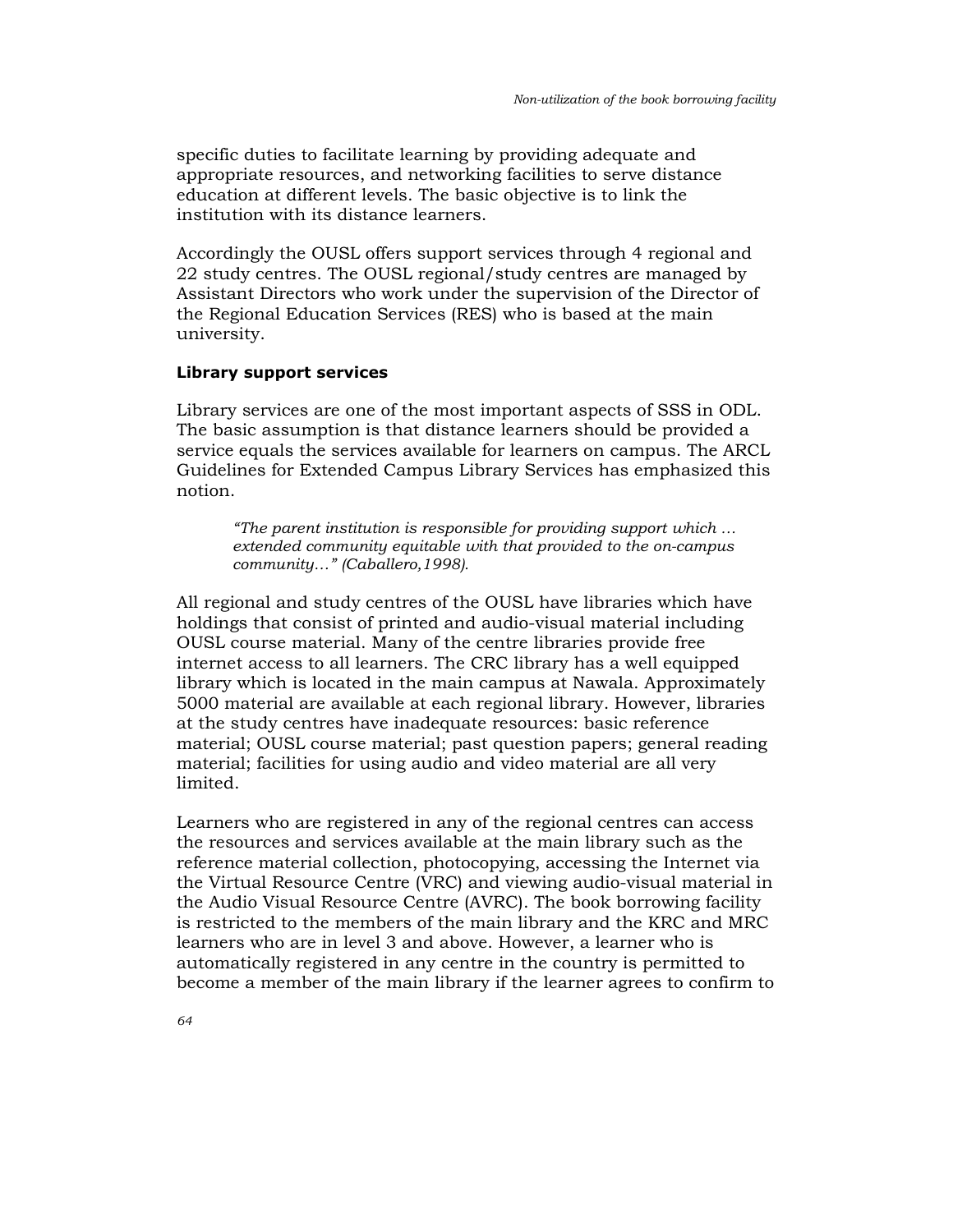specific duties to facilitate learning by providing adequate and appropriate resources, and networking facilities to serve distance education at different levels. The basic objective is to link the institution with its distance learners.

Accordingly the OUSL offers support services through 4 regional and 22 study centres. The OUSL regional/study centres are managed by Assistant Directors who work under the supervision of the Director of the Regional Education Services (RES) who is based at the main university.

#### Library support services

Library services are one of the most important aspects of SSS in ODL. The basic assumption is that distance learners should be provided a service equals the services available for learners on campus. The ARCL Guidelines for Extended Campus Library Services has emphasized this notion.

"The parent institution is responsible for providing support which … extended community equitable with that provided to the on-campus community…" (Caballero,1998).

All regional and study centres of the OUSL have libraries which have holdings that consist of printed and audio-visual material including OUSL course material. Many of the centre libraries provide free internet access to all learners. The CRC library has a well equipped library which is located in the main campus at Nawala. Approximately 5000 material are available at each regional library. However, libraries at the study centres have inadequate resources: basic reference material; OUSL course material; past question papers; general reading material; facilities for using audio and video material are all very limited.

Learners who are registered in any of the regional centres can access the resources and services available at the main library such as the reference material collection, photocopying, accessing the Internet via the Virtual Resource Centre (VRC) and viewing audio-visual material in the Audio Visual Resource Centre (AVRC). The book borrowing facility is restricted to the members of the main library and the KRC and MRC learners who are in level 3 and above. However, a learner who is automatically registered in any centre in the country is permitted to become a member of the main library if the learner agrees to confirm to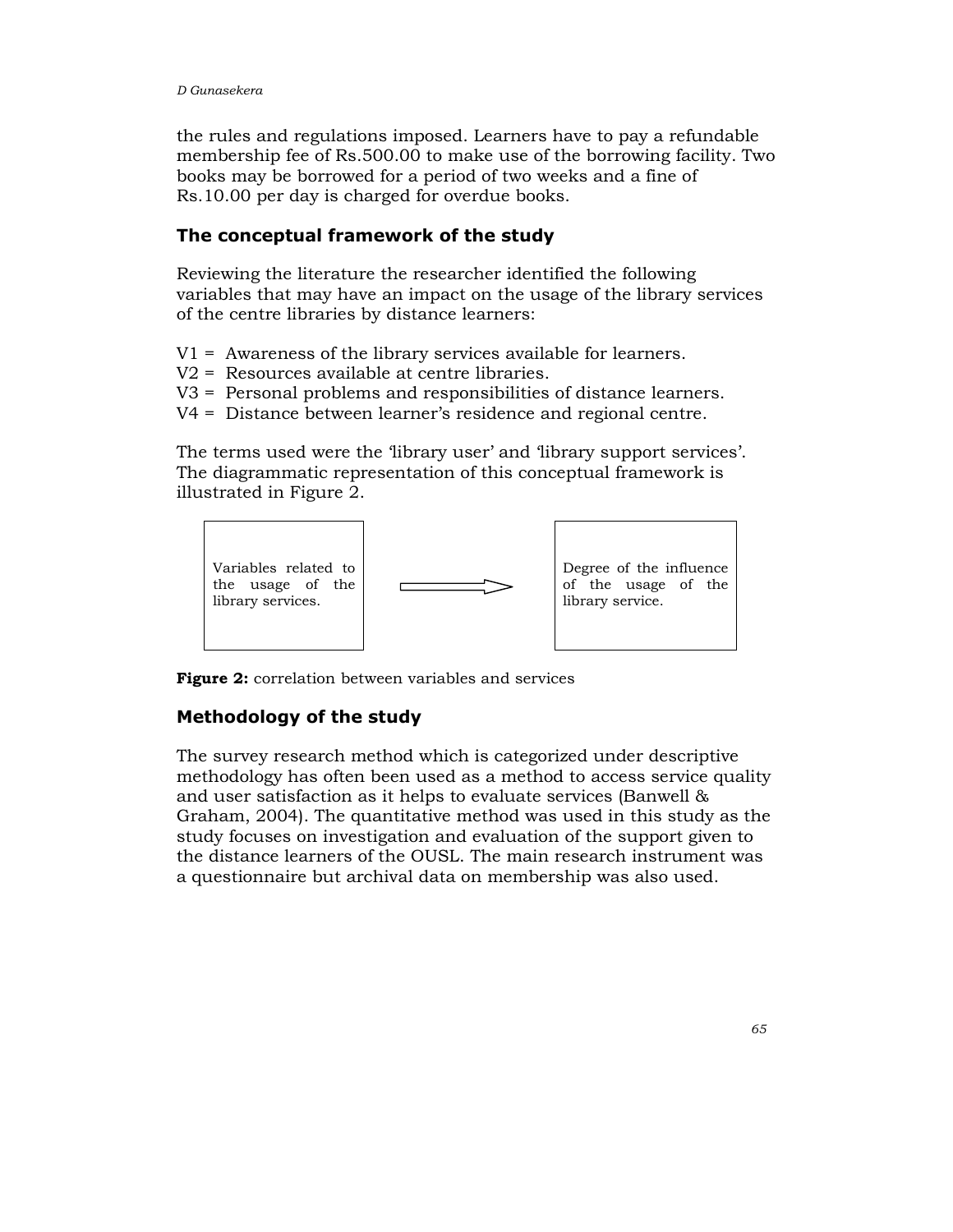the rules and regulations imposed. Learners have to pay a refundable membership fee of Rs.500.00 to make use of the borrowing facility. Two books may be borrowed for a period of two weeks and a fine of Rs.10.00 per day is charged for overdue books.

## The conceptual framework of the study

Reviewing the literature the researcher identified the following variables that may have an impact on the usage of the library services of the centre libraries by distance learners:

V1 = Awareness of the library services available for learners.

- V2 = Resources available at centre libraries.
- V3 = Personal problems and responsibilities of distance learners.
- V4 = Distance between learner's residence and regional centre.

The terms used were the 'library user' and 'library support services'. The diagrammatic representation of this conceptual framework is illustrated in Figure 2.



Figure 2: correlation between variables and services

## Methodology of the study

The survey research method which is categorized under descriptive methodology has often been used as a method to access service quality and user satisfaction as it helps to evaluate services (Banwell & Graham, 2004). The quantitative method was used in this study as the study focuses on investigation and evaluation of the support given to the distance learners of the OUSL. The main research instrument was a questionnaire but archival data on membership was also used.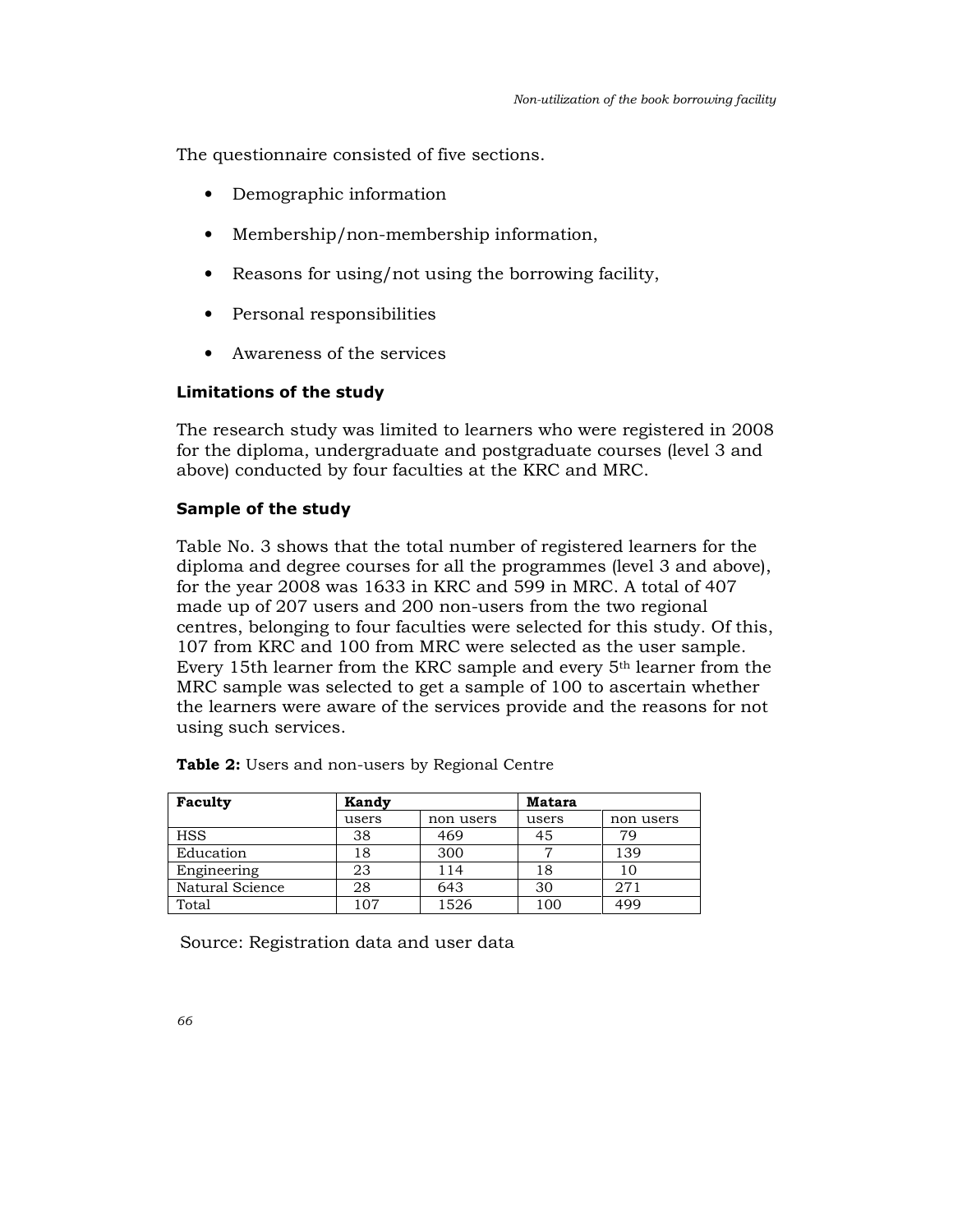The questionnaire consisted of five sections.

- Demographic information
- Membership/non-membership information,
- Reasons for using/not using the borrowing facility,
- Personal responsibilities
- Awareness of the services

#### Limitations of the study

The research study was limited to learners who were registered in 2008 for the diploma, undergraduate and postgraduate courses (level 3 and above) conducted by four faculties at the KRC and MRC.

## Sample of the study

Table No. 3 shows that the total number of registered learners for the diploma and degree courses for all the programmes (level 3 and above), for the year 2008 was 1633 in KRC and 599 in MRC. A total of 407 made up of 207 users and 200 non-users from the two regional centres, belonging to four faculties were selected for this study. Of this, 107 from KRC and 100 from MRC were selected as the user sample. Every 15th learner from the KRC sample and every 5th learner from the MRC sample was selected to get a sample of 100 to ascertain whether the learners were aware of the services provide and the reasons for not using such services.

| Faculty         | <b>Kandy</b> |           | Matara |           |  |
|-----------------|--------------|-----------|--------|-----------|--|
|                 | users        | non users | users  | non users |  |
| <b>HSS</b>      | 38           | 469       | 45     | 79        |  |
| Education       | 18           | 300       |        | 139       |  |
| Engineering     | 23           | 114       | 18     | 10        |  |
| Natural Science | 28           | 643       | 30     | 271       |  |
| Total           | 107          | 1526      | 100    | 499       |  |

|  |  |  | <b>Table 2:</b> Users and non-users by Regional Centre |  |  |  |
|--|--|--|--------------------------------------------------------|--|--|--|
|--|--|--|--------------------------------------------------------|--|--|--|

Source: Registration data and user data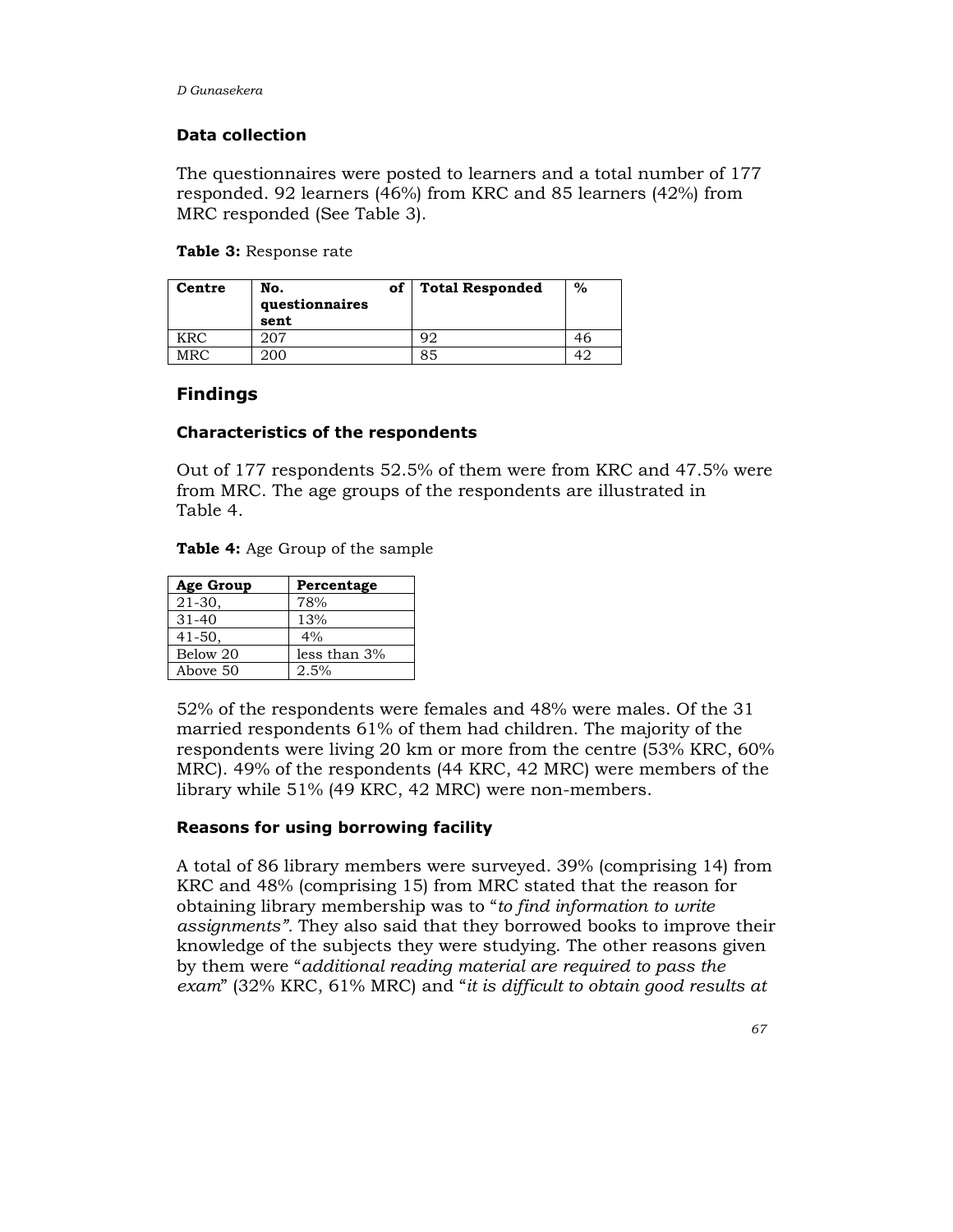#### Data collection

The questionnaires were posted to learners and a total number of 177 responded. 92 learners (46%) from KRC and 85 learners (42%) from MRC responded (See Table 3).

Table 3: Response rate

| Centre | No.<br>questionnaires<br>sent | of | <b>Total Responded</b> | $\%$ |
|--------|-------------------------------|----|------------------------|------|
| KRC    | 207                           |    |                        |      |
| MRC.   | 200                           |    | 85                     | ⊿'   |

## Findings

#### Characteristics of the respondents

Out of 177 respondents 52.5% of them were from KRC and 47.5% were from MRC. The age groups of the respondents are illustrated in Table 4.

| <b>Table 4:</b> Age Group of the sample |  |  |  |  |
|-----------------------------------------|--|--|--|--|
|-----------------------------------------|--|--|--|--|

| Age Group   | Percentage   |
|-------------|--------------|
| $21 - 30$ , | 78%          |
| $31 - 40$   | 13%          |
| $41 - 50.$  | 4%           |
| Below 20    | less than 3% |
| Above 50    | 2.5%         |

52% of the respondents were females and 48% were males. Of the 31 married respondents 61% of them had children. The majority of the respondents were living 20 km or more from the centre (53% KRC, 60% MRC). 49% of the respondents (44 KRC, 42 MRC) were members of the library while 51% (49 KRC, 42 MRC) were non-members.

#### Reasons for using borrowing facility

A total of 86 library members were surveyed. 39% (comprising 14) from KRC and 48% (comprising 15) from MRC stated that the reason for obtaining library membership was to "to find information to write assignments". They also said that they borrowed books to improve their knowledge of the subjects they were studying. The other reasons given by them were "additional reading material are required to pass the exam" (32% KRC, 61% MRC) and "it is difficult to obtain good results at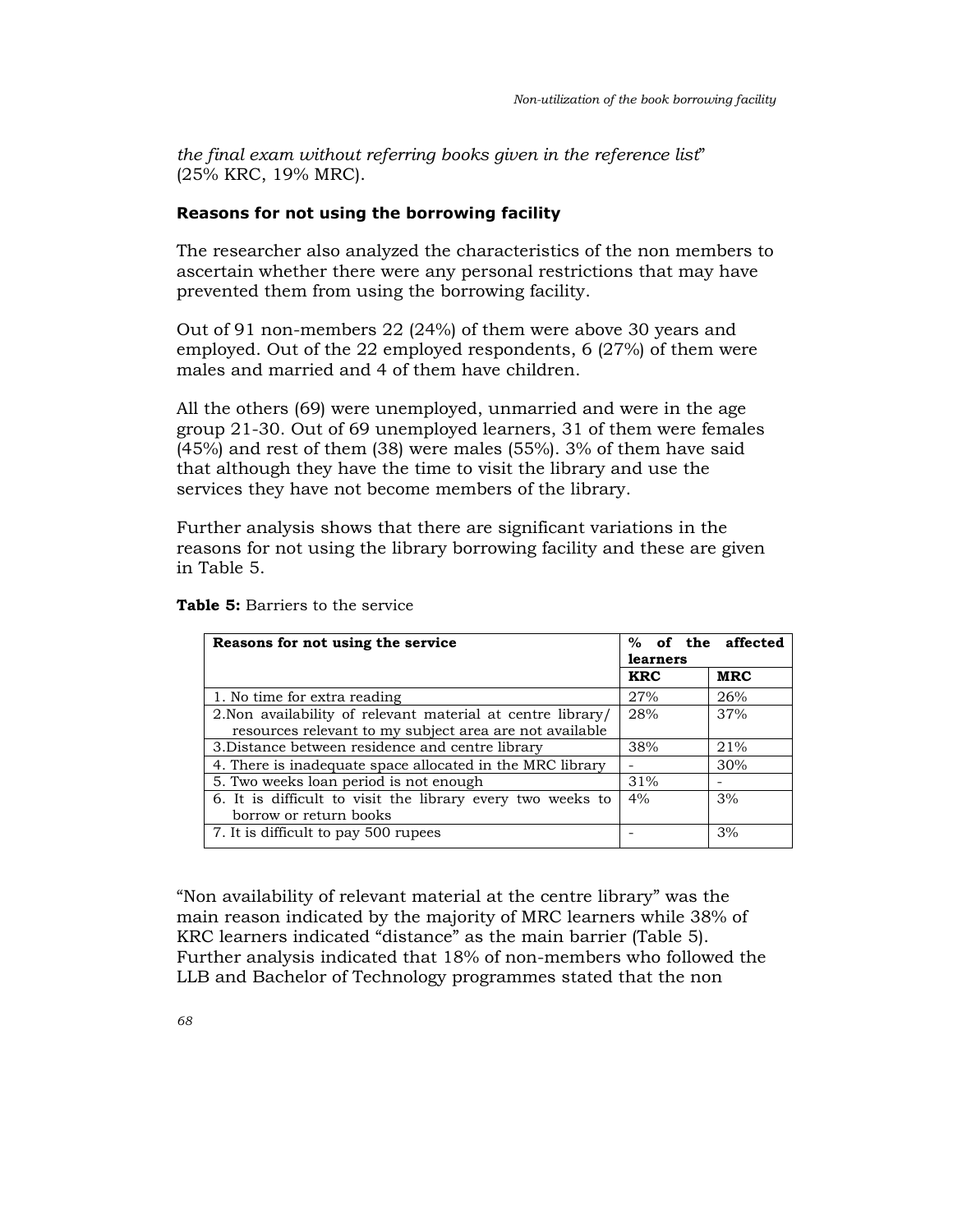the final exam without referring books given in the reference list" (25% KRC, 19% MRC).

#### Reasons for not using the borrowing facility

The researcher also analyzed the characteristics of the non members to ascertain whether there were any personal restrictions that may have prevented them from using the borrowing facility.

Out of 91 non-members 22 (24%) of them were above 30 years and employed. Out of the 22 employed respondents, 6 (27%) of them were males and married and 4 of them have children.

All the others (69) were unemployed, unmarried and were in the age group 21-30. Out of 69 unemployed learners, 31 of them were females (45%) and rest of them (38) were males (55%). 3% of them have said that although they have the time to visit the library and use the services they have not become members of the library.

Further analysis shows that there are significant variations in the reasons for not using the library borrowing facility and these are given in Table 5.

| Reasons for not using the service                           | % of the affected<br>learners |            |  |
|-------------------------------------------------------------|-------------------------------|------------|--|
|                                                             | <b>KRC</b>                    | <b>MRC</b> |  |
| 1. No time for extra reading                                | 27%                           | 26%        |  |
| 2. Non availability of relevant material at centre library/ | 28%                           | 37%        |  |
| resources relevant to my subject area are not available     |                               |            |  |
| 3. Distance between residence and centre library            | 38%                           | 21%        |  |
| 4. There is inadequate space allocated in the MRC library   |                               | 30%        |  |
| 5. Two weeks loan period is not enough                      | 31%                           |            |  |
| 6. It is difficult to visit the library every two weeks to  | 4%                            | 3%         |  |
| borrow or return books                                      |                               |            |  |
| 7. It is difficult to pay 500 rupees                        |                               | 3%         |  |

Table 5: Barriers to the service

"Non availability of relevant material at the centre library" was the main reason indicated by the majority of MRC learners while 38% of KRC learners indicated "distance" as the main barrier (Table 5). Further analysis indicated that 18% of non-members who followed the LLB and Bachelor of Technology programmes stated that the non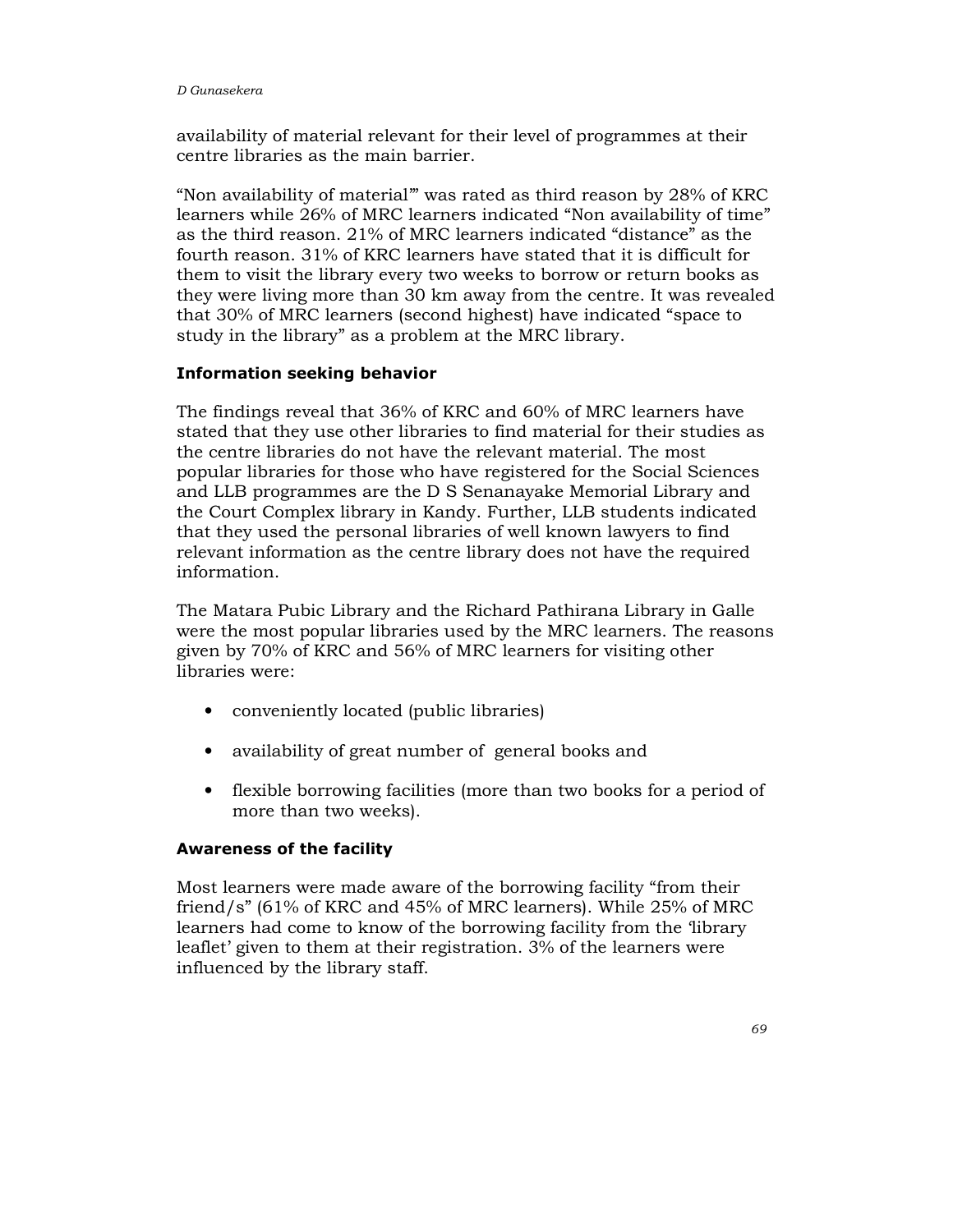availability of material relevant for their level of programmes at their centre libraries as the main barrier.

"Non availability of material'" was rated as third reason by 28% of KRC learners while 26% of MRC learners indicated "Non availability of time" as the third reason. 21% of MRC learners indicated "distance" as the fourth reason. 31% of KRC learners have stated that it is difficult for them to visit the library every two weeks to borrow or return books as they were living more than 30 km away from the centre. It was revealed that 30% of MRC learners (second highest) have indicated "space to study in the library" as a problem at the MRC library.

#### Information seeking behavior

The findings reveal that 36% of KRC and 60% of MRC learners have stated that they use other libraries to find material for their studies as the centre libraries do not have the relevant material. The most popular libraries for those who have registered for the Social Sciences and LLB programmes are the D S Senanayake Memorial Library and the Court Complex library in Kandy. Further, LLB students indicated that they used the personal libraries of well known lawyers to find relevant information as the centre library does not have the required information.

The Matara Pubic Library and the Richard Pathirana Library in Galle were the most popular libraries used by the MRC learners. The reasons given by 70% of KRC and 56% of MRC learners for visiting other libraries were:

- conveniently located (public libraries)
- availability of great number of general books and
- flexible borrowing facilities (more than two books for a period of more than two weeks).

#### Awareness of the facility

Most learners were made aware of the borrowing facility "from their friend/s" (61% of KRC and 45% of MRC learners). While 25% of MRC learners had come to know of the borrowing facility from the 'library leaflet' given to them at their registration. 3% of the learners were influenced by the library staff.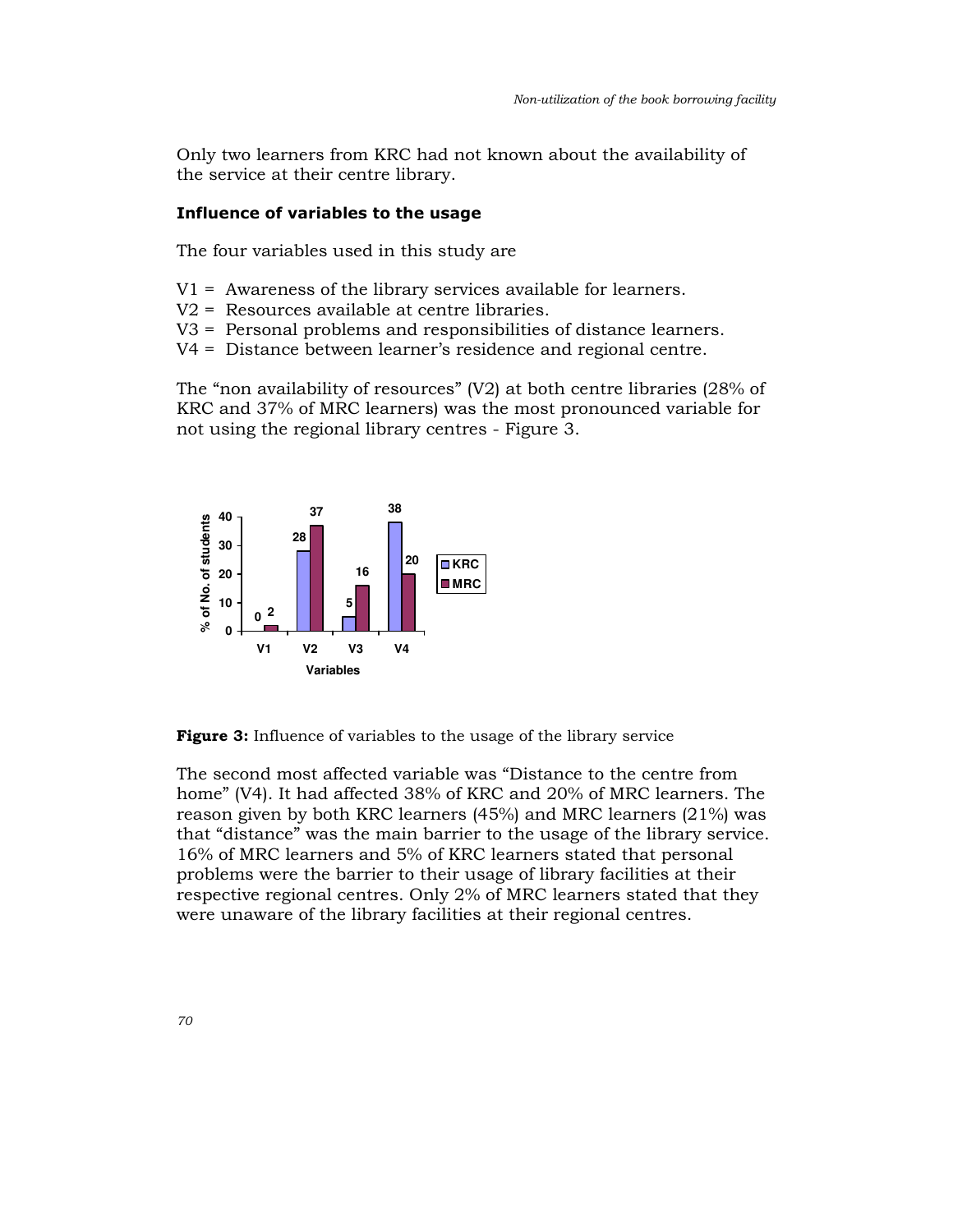Only two learners from KRC had not known about the availability of the service at their centre library.

#### Influence of variables to the usage

The four variables used in this study are

- V1 = Awareness of the library services available for learners.
- V2 = Resources available at centre libraries.
- V3 = Personal problems and responsibilities of distance learners.
- V4 = Distance between learner's residence and regional centre.

The "non availability of resources" (V2) at both centre libraries (28% of KRC and 37% of MRC learners) was the most pronounced variable for not using the regional library centres - Figure 3.



Figure 3: Influence of variables to the usage of the library service

The second most affected variable was "Distance to the centre from home" (V4). It had affected 38% of KRC and 20% of MRC learners. The reason given by both KRC learners (45%) and MRC learners (21%) was that "distance" was the main barrier to the usage of the library service. 16% of MRC learners and 5% of KRC learners stated that personal problems were the barrier to their usage of library facilities at their respective regional centres. Only 2% of MRC learners stated that they were unaware of the library facilities at their regional centres.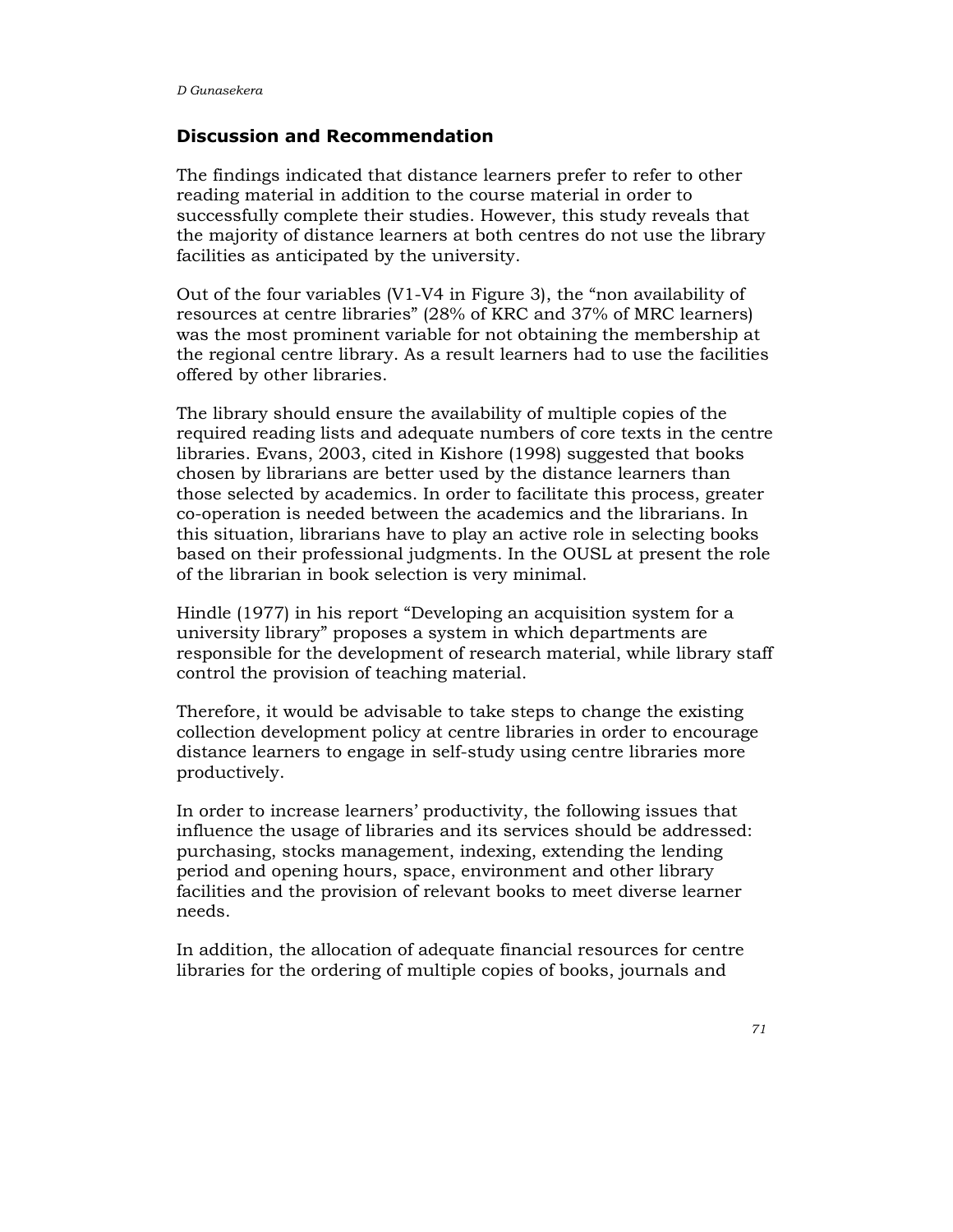#### Discussion and Recommendation

The findings indicated that distance learners prefer to refer to other reading material in addition to the course material in order to successfully complete their studies. However, this study reveals that the majority of distance learners at both centres do not use the library facilities as anticipated by the university.

Out of the four variables (V1-V4 in Figure 3), the "non availability of resources at centre libraries" (28% of KRC and 37% of MRC learners) was the most prominent variable for not obtaining the membership at the regional centre library. As a result learners had to use the facilities offered by other libraries.

The library should ensure the availability of multiple copies of the required reading lists and adequate numbers of core texts in the centre libraries. Evans, 2003, cited in Kishore (1998) suggested that books chosen by librarians are better used by the distance learners than those selected by academics. In order to facilitate this process, greater co-operation is needed between the academics and the librarians. In this situation, librarians have to play an active role in selecting books based on their professional judgments. In the OUSL at present the role of the librarian in book selection is very minimal.

Hindle (1977) in his report "Developing an acquisition system for a university library" proposes a system in which departments are responsible for the development of research material, while library staff control the provision of teaching material.

Therefore, it would be advisable to take steps to change the existing collection development policy at centre libraries in order to encourage distance learners to engage in self-study using centre libraries more productively.

In order to increase learners' productivity, the following issues that influence the usage of libraries and its services should be addressed: purchasing, stocks management, indexing, extending the lending period and opening hours, space, environment and other library facilities and the provision of relevant books to meet diverse learner needs.

In addition, the allocation of adequate financial resources for centre libraries for the ordering of multiple copies of books, journals and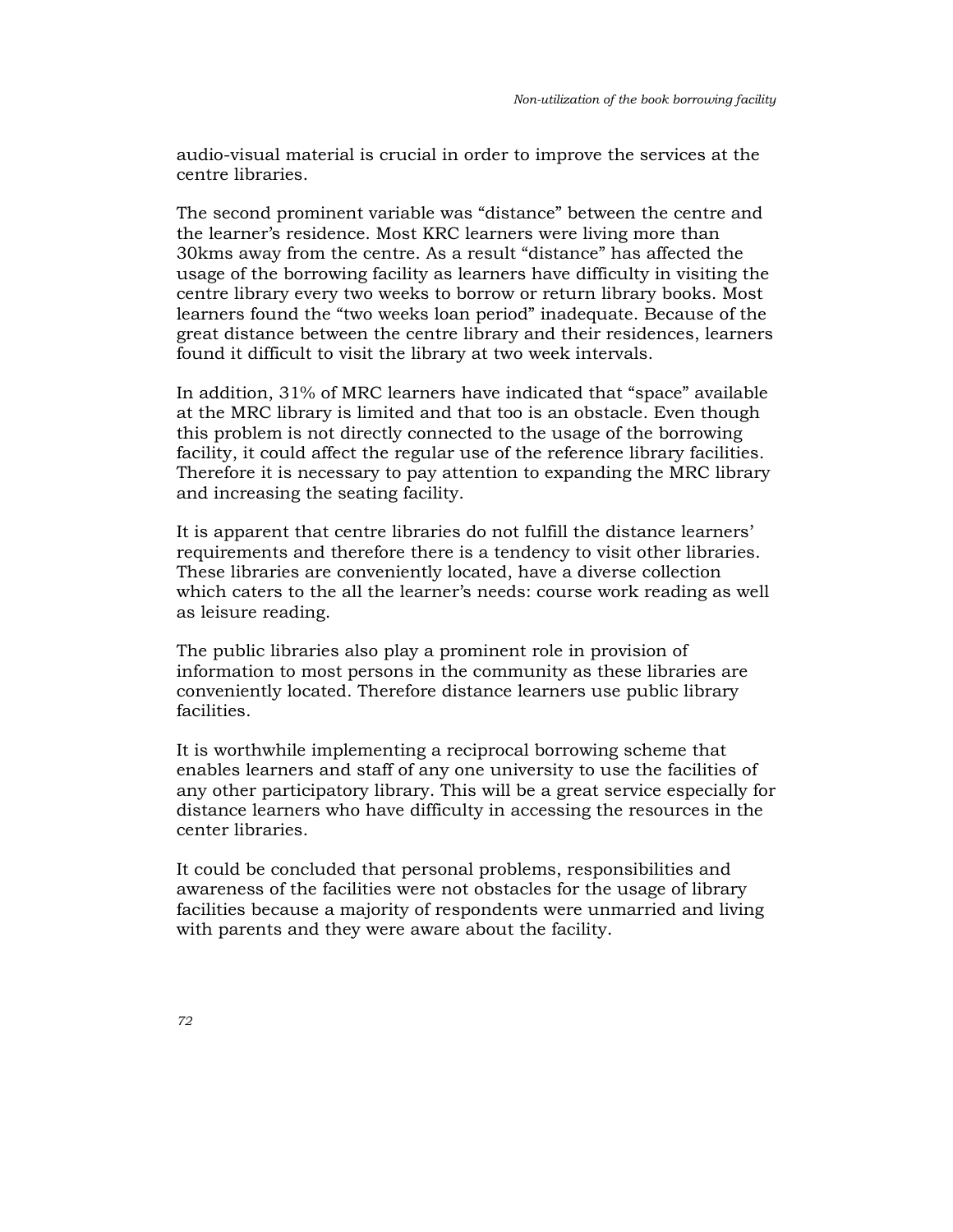audio-visual material is crucial in order to improve the services at the centre libraries.

The second prominent variable was "distance" between the centre and the learner's residence. Most KRC learners were living more than 30kms away from the centre. As a result "distance" has affected the usage of the borrowing facility as learners have difficulty in visiting the centre library every two weeks to borrow or return library books. Most learners found the "two weeks loan period" inadequate. Because of the great distance between the centre library and their residences, learners found it difficult to visit the library at two week intervals.

In addition, 31% of MRC learners have indicated that "space" available at the MRC library is limited and that too is an obstacle. Even though this problem is not directly connected to the usage of the borrowing facility, it could affect the regular use of the reference library facilities. Therefore it is necessary to pay attention to expanding the MRC library and increasing the seating facility.

It is apparent that centre libraries do not fulfill the distance learners' requirements and therefore there is a tendency to visit other libraries. These libraries are conveniently located, have a diverse collection which caters to the all the learner's needs: course work reading as well as leisure reading.

The public libraries also play a prominent role in provision of information to most persons in the community as these libraries are conveniently located. Therefore distance learners use public library facilities.

It is worthwhile implementing a reciprocal borrowing scheme that enables learners and staff of any one university to use the facilities of any other participatory library. This will be a great service especially for distance learners who have difficulty in accessing the resources in the center libraries.

It could be concluded that personal problems, responsibilities and awareness of the facilities were not obstacles for the usage of library facilities because a majority of respondents were unmarried and living with parents and they were aware about the facility.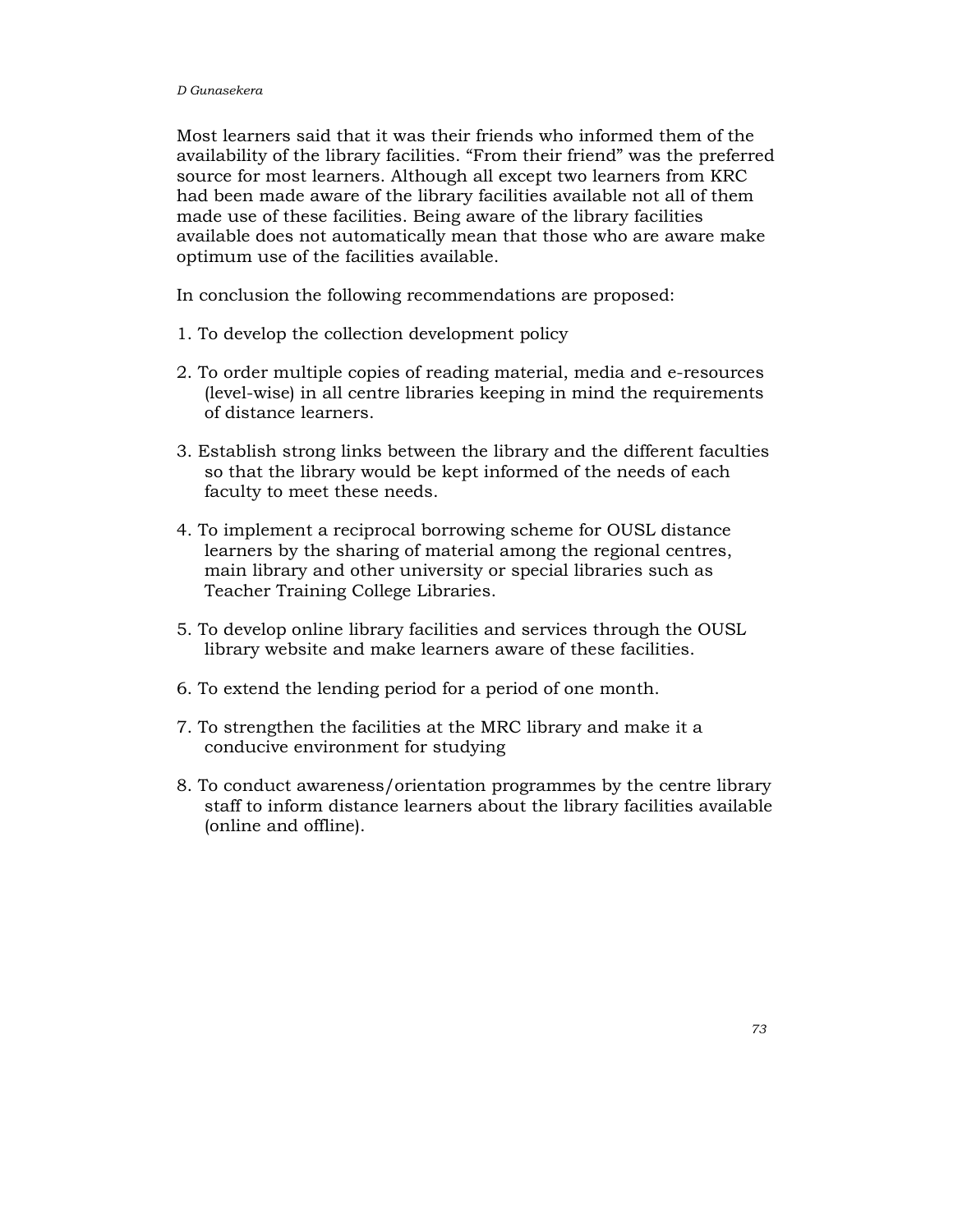Most learners said that it was their friends who informed them of the availability of the library facilities. "From their friend" was the preferred source for most learners. Although all except two learners from KRC had been made aware of the library facilities available not all of them made use of these facilities. Being aware of the library facilities available does not automatically mean that those who are aware make optimum use of the facilities available.

In conclusion the following recommendations are proposed:

- 1. To develop the collection development policy
- 2. To order multiple copies of reading material, media and e-resources (level-wise) in all centre libraries keeping in mind the requirements of distance learners.
- 3. Establish strong links between the library and the different faculties so that the library would be kept informed of the needs of each faculty to meet these needs.
- 4. To implement a reciprocal borrowing scheme for OUSL distance learners by the sharing of material among the regional centres, main library and other university or special libraries such as Teacher Training College Libraries.
- 5. To develop online library facilities and services through the OUSL library website and make learners aware of these facilities.
- 6. To extend the lending period for a period of one month.
- 7. To strengthen the facilities at the MRC library and make it a conducive environment for studying
- 8. To conduct awareness/orientation programmes by the centre library staff to inform distance learners about the library facilities available (online and offline).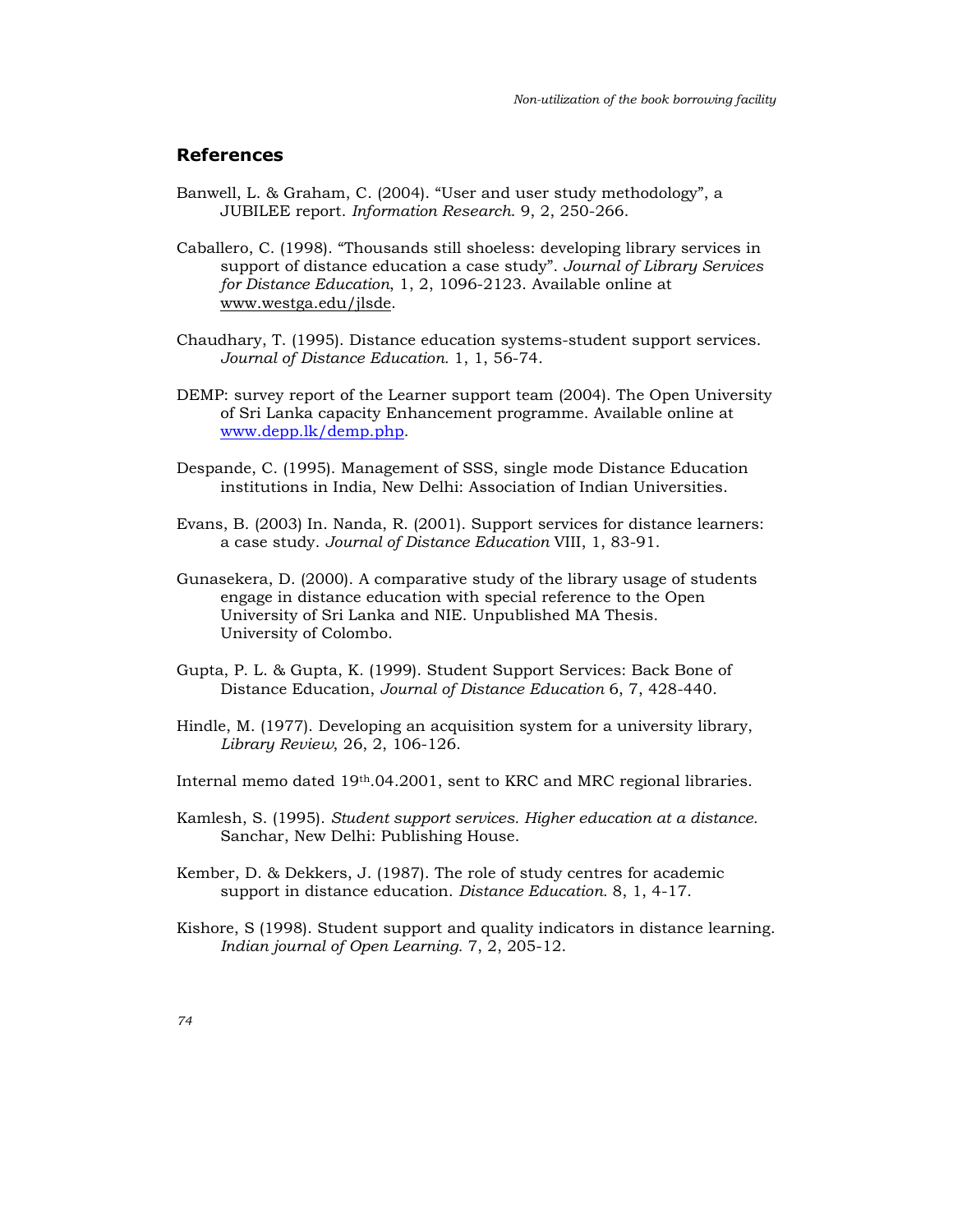## References

- Banwell, L. & Graham, C. (2004). "User and user study methodology", a JUBILEE report. Information Research. 9, 2, 250-266.
- Caballero, C. (1998). "Thousands still shoeless: developing library services in support of distance education a case study". Journal of Library Services for Distance Education, 1, 2, 1096-2123. Available online at www.westga.edu/jlsde.
- Chaudhary, T. (1995). Distance education systems-student support services. Journal of Distance Education. 1, 1, 56-74.
- DEMP: survey report of the Learner support team (2004). The Open University of Sri Lanka capacity Enhancement programme. Available online at www.depp.lk/demp.php.
- Despande, C. (1995). Management of SSS, single mode Distance Education institutions in India, New Delhi: Association of Indian Universities.
- Evans, B. (2003) In. Nanda, R. (2001). Support services for distance learners: a case study. Journal of Distance Education VIII, 1, 83-91.
- Gunasekera, D. (2000). A comparative study of the library usage of students engage in distance education with special reference to the Open University of Sri Lanka and NIE. Unpublished MA Thesis. University of Colombo.
- Gupta, P. L. & Gupta, K. (1999). Student Support Services: Back Bone of Distance Education, Journal of Distance Education 6, 7, 428-440.
- Hindle, M. (1977). Developing an acquisition system for a university library, Library Review, 26, 2, 106-126.
- Internal memo dated 19th.04.2001, sent to KRC and MRC regional libraries.
- Kamlesh, S. (1995). Student support services. Higher education at a distance. Sanchar, New Delhi: Publishing House.
- Kember, D. & Dekkers, J. (1987). The role of study centres for academic support in distance education. Distance Education. 8, 1, 4-17.
- Kishore, S (1998). Student support and quality indicators in distance learning. Indian journal of Open Learning. 7, 2, 205-12.